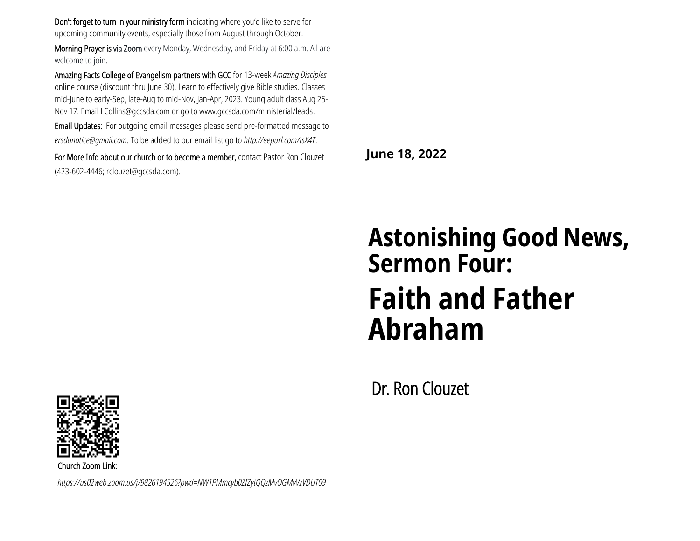Don't forget to turn in your ministry form indicating where you'd like to serve for upcoming community events, especially those from August through October.

Morning Prayer is via Zoom every Monday, Wednesday, and Friday at 6:00 a.m. All are welcome to join.

Amazing Facts College of Evangelism partners with GCC for 13-week *Amazing Disciples* online course (discount thru June 30). Learn to effectively give Bible studies. Classes mid-June to early-Sep, late-Aug to mid-Nov, Jan-Apr, 2023. Young adult class Aug 25- Nov 17. Email [LCollins@gccsda.com](mailto:LCollins@gccsda.com) or go to www.gccsda.com/ministerial/leads.

Email Updates: For outgoing email messages please send pre-formatted message to *ersdanotice@gmail.com*. To be added to our email list go to *http://eepurl.com/tsX4T*.

For More Info about our church or to become a member, contact Pastor Ron Clouzet (423-602-4446; rclouzet@gccsda.com).

**June 18, 2022**

# **Astonishing Good News, Sermon Four: Faith and Father Abraham**

Dr. Ron Clouzet



Church Zoom Link:

*https://us02web.zoom.us/j/9826194526?pwd=NW1PMmcyb0ZIZytQQzMvOGMvVzVDUT09*